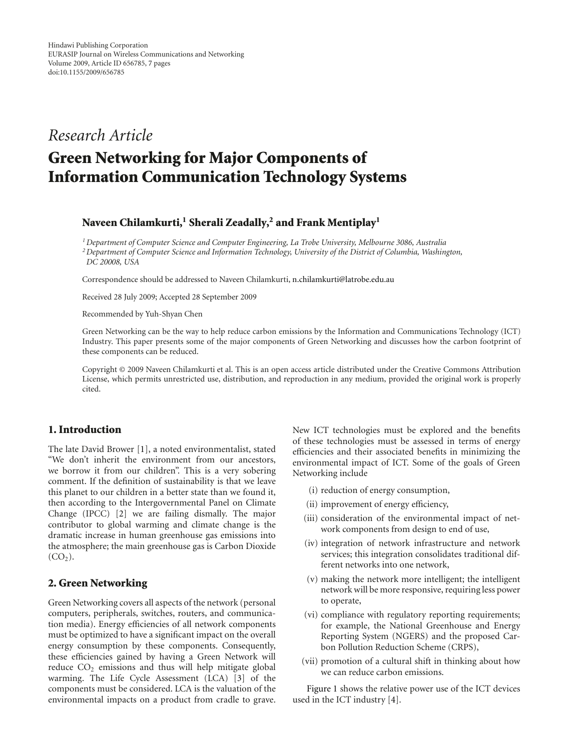# *Research Article*

# **Green Networking for Major Components of Information Communication Technology Systems**

#### **Naveen Chilamkurti,1 Sherali Zeadally,2 and Frank Mentiplay1**

*1Department of Computer Science and Computer Engineering, La Trobe University, Melbourne 3086, Australia 2Department of Computer Science and Information Technology, University of the District of Columbia, Washington, DC 20008, USA*

Correspondence should be addressed to Naveen Chilamkurti, n.chilamkurti@latrobe.edu.au

Received 28 July 2009; Accepted 28 September 2009

Recommended by Yuh-Shyan Chen

Green Networking can be the way to help reduce carbon emissions by the Information and Communications Technology (ICT) Industry. This paper presents some of the major components of Green Networking and discusses how the carbon footprint of these components can be reduced.

Copyright © 2009 Naveen Chilamkurti et al. This is an open access article distributed under the Creative Commons Attribution License, which permits unrestricted use, distribution, and reproduction in any medium, provided the original work is properly cited.

#### **1. Introduction**

The late David Brower [1], a noted environmentalist, stated "We don't inherit the environment from our ancestors, we borrow it from our children". This is a very sobering comment. If the definition of sustainability is that we leave this planet to our children in a better state than we found it, then according to the Intergovernmental Panel on Climate Change (IPCC) [2] we are failing dismally. The major contributor to global warming and climate change is the dramatic increase in human greenhouse gas emissions into the atmosphere; the main greenhouse gas is Carbon Dioxide  $(CO<sub>2</sub>)$ .

#### **2. Green Networking**

Green Networking covers all aspects of the network (personal computers, peripherals, switches, routers, and communication media). Energy efficiencies of all network components must be optimized to have a significant impact on the overall energy consumption by these components. Consequently, these efficiencies gained by having a Green Network will reduce  $CO<sub>2</sub>$  emissions and thus will help mitigate global warming. The Life Cycle Assessment (LCA) [3] of the components must be considered. LCA is the valuation of the environmental impacts on a product from cradle to grave.

New ICT technologies must be explored and the benefits of these technologies must be assessed in terms of energy efficiencies and their associated benefits in minimizing the environmental impact of ICT. Some of the goals of Green Networking include

- (i) reduction of energy consumption,
- (ii) improvement of energy efficiency,
- (iii) consideration of the environmental impact of network components from design to end of use,
- (iv) integration of network infrastructure and network services; this integration consolidates traditional different networks into one network,
- (v) making the network more intelligent; the intelligent network will be more responsive, requiring less power to operate,
- (vi) compliance with regulatory reporting requirements; for example, the National Greenhouse and Energy Reporting System (NGERS) and the proposed Carbon Pollution Reduction Scheme (CRPS),
- (vii) promotion of a cultural shift in thinking about how we can reduce carbon emissions.

Figure 1 shows the relative power use of the ICT devices used in the ICT industry [4].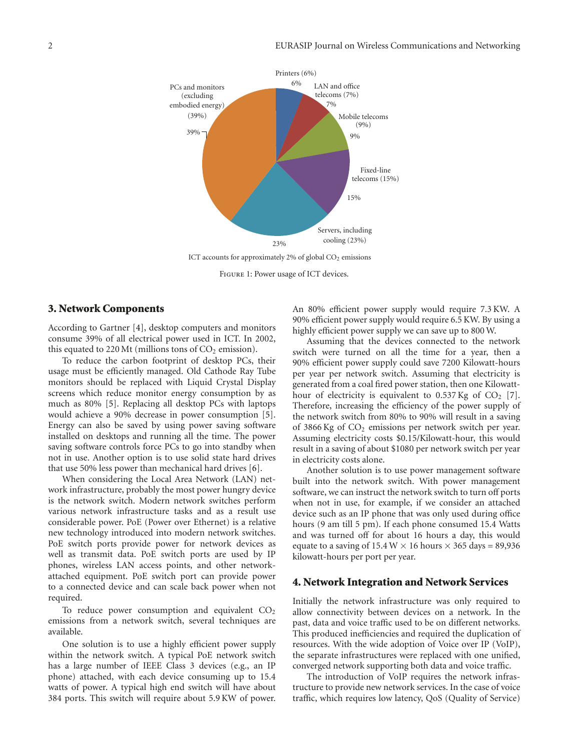

Figure 1: Power usage of ICT devices.

#### **3. Network Components**

According to Gartner [4], desktop computers and monitors consume 39% of all electrical power used in ICT. In 2002, this equated to 220 Mt (millions tons of  $CO<sub>2</sub>$  emission).

To reduce the carbon footprint of desktop PCs, their usage must be efficiently managed. Old Cathode Ray Tube monitors should be replaced with Liquid Crystal Display screens which reduce monitor energy consumption by as much as 80% [5]. Replacing all desktop PCs with laptops would achieve a 90% decrease in power consumption [5]. Energy can also be saved by using power saving software installed on desktops and running all the time. The power saving software controls force PCs to go into standby when not in use. Another option is to use solid state hard drives that use 50% less power than mechanical hard drives [6].

When considering the Local Area Network (LAN) network infrastructure, probably the most power hungry device is the network switch. Modern network switches perform various network infrastructure tasks and as a result use considerable power. PoE (Power over Ethernet) is a relative new technology introduced into modern network switches. PoE switch ports provide power for network devices as well as transmit data. PoE switch ports are used by IP phones, wireless LAN access points, and other networkattached equipment. PoE switch port can provide power to a connected device and can scale back power when not required.

To reduce power consumption and equivalent  $CO<sub>2</sub>$ emissions from a network switch, several techniques are available.

One solution is to use a highly efficient power supply within the network switch. A typical PoE network switch has a large number of IEEE Class 3 devices (e.g., an IP phone) attached, with each device consuming up to 15.4 watts of power. A typical high end switch will have about 384 ports. This switch will require about 5.9 KW of power.

An 80% efficient power supply would require 7.3 KW. A 90% efficient power supply would require 6.5 KW. By using a highly efficient power supply we can save up to 800 W.

Assuming that the devices connected to the network switch were turned on all the time for a year, then a 90% efficient power supply could save 7200 Kilowatt-hours per year per network switch. Assuming that electricity is generated from a coal fired power station, then one Kilowatthour of electricity is equivalent to  $0.537$  Kg of CO<sub>2</sub> [7]. Therefore, increasing the efficiency of the power supply of the network switch from 80% to 90% will result in a saving of 3866 Kg of  $CO<sub>2</sub>$  emissions per network switch per year. Assuming electricity costs \$0.15/Kilowatt-hour, this would result in a saving of about \$1080 per network switch per year in electricity costs alone.

Another solution is to use power management software built into the network switch. With power management software, we can instruct the network switch to turn off ports when not in use, for example, if we consider an attached device such as an IP phone that was only used during office hours (9 am till 5 pm). If each phone consumed 15.4 Watts and was turned off for about 16 hours a day, this would equate to a saving of  $15.4 W \times 16$  hours  $\times 365$  days = 89,936 kilowatt-hours per port per year.

#### **4. Network Integration and Network Services**

Initially the network infrastructure was only required to allow connectivity between devices on a network. In the past, data and voice traffic used to be on different networks. This produced inefficiencies and required the duplication of resources. With the wide adoption of Voice over IP (VoIP), the separate infrastructures were replaced with one unified, converged network supporting both data and voice traffic.

The introduction of VoIP requires the network infrastructure to provide new network services. In the case of voice traffic, which requires low latency, QoS (Quality of Service)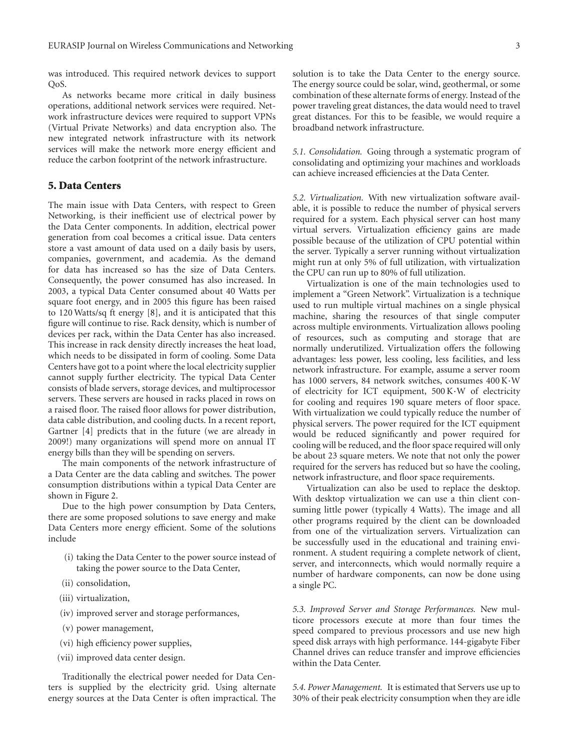was introduced. This required network devices to support QoS.

As networks became more critical in daily business operations, additional network services were required. Network infrastructure devices were required to support VPNs (Virtual Private Networks) and data encryption also. The new integrated network infrastructure with its network services will make the network more energy efficient and reduce the carbon footprint of the network infrastructure.

#### **5. Data Centers**

The main issue with Data Centers, with respect to Green Networking, is their inefficient use of electrical power by the Data Center components. In addition, electrical power generation from coal becomes a critical issue. Data centers store a vast amount of data used on a daily basis by users, companies, government, and academia. As the demand for data has increased so has the size of Data Centers. Consequently, the power consumed has also increased. In 2003, a typical Data Center consumed about 40 Watts per square foot energy, and in 2005 this figure has been raised to 120 Watts/sq ft energy [8], and it is anticipated that this figure will continue to rise. Rack density, which is number of devices per rack, within the Data Center has also increased. This increase in rack density directly increases the heat load, which needs to be dissipated in form of cooling. Some Data Centers have got to a point where the local electricity supplier cannot supply further electricity. The typical Data Center consists of blade servers, storage devices, and multiprocessor servers. These servers are housed in racks placed in rows on a raised floor. The raised floor allows for power distribution, data cable distribution, and cooling ducts. In a recent report, Gartner [4] predicts that in the future (we are already in 2009!) many organizations will spend more on annual IT energy bills than they will be spending on servers.

The main components of the network infrastructure of a Data Center are the data cabling and switches. The power consumption distributions within a typical Data Center are shown in Figure 2.

Due to the high power consumption by Data Centers, there are some proposed solutions to save energy and make Data Centers more energy efficient. Some of the solutions include

- (i) taking the Data Center to the power source instead of taking the power source to the Data Center,
- (ii) consolidation,
- (iii) virtualization,
- (iv) improved server and storage performances,
- (v) power management,
- (vi) high efficiency power supplies,
- (vii) improved data center design.

Traditionally the electrical power needed for Data Centers is supplied by the electricity grid. Using alternate energy sources at the Data Center is often impractical. The solution is to take the Data Center to the energy source. The energy source could be solar, wind, geothermal, or some combination of these alternate forms of energy. Instead of the power traveling great distances, the data would need to travel great distances. For this to be feasible, we would require a broadband network infrastructure.

*5.1. Consolidation.* Going through a systematic program of consolidating and optimizing your machines and workloads can achieve increased efficiencies at the Data Center.

*5.2. Virtualization.* With new virtualization software available, it is possible to reduce the number of physical servers required for a system. Each physical server can host many virtual servers. Virtualization efficiency gains are made possible because of the utilization of CPU potential within the server. Typically a server running without virtualization might run at only 5% of full utilization, with virtualization the CPU can run up to 80% of full utilization.

Virtualization is one of the main technologies used to implement a "Green Network". Virtualization is a technique used to run multiple virtual machines on a single physical machine, sharing the resources of that single computer across multiple environments. Virtualization allows pooling of resources, such as computing and storage that are normally underutilized. Virtualization offers the following advantages: less power, less cooling, less facilities, and less network infrastructure. For example, assume a server room has 1000 servers, 84 network switches, consumes 400 K*·*W of electricity for ICT equipment, 500 K*·*W of electricity for cooling and requires 190 square meters of floor space. With virtualization we could typically reduce the number of physical servers. The power required for the ICT equipment would be reduced significantly and power required for cooling will be reduced, and the floor space required will only be about 23 square meters. We note that not only the power required for the servers has reduced but so have the cooling, network infrastructure, and floor space requirements.

Virtualization can also be used to replace the desktop. With desktop virtualization we can use a thin client consuming little power (typically 4 Watts). The image and all other programs required by the client can be downloaded from one of the virtualization servers. Virtualization can be successfully used in the educational and training environment. A student requiring a complete network of client, server, and interconnects, which would normally require a number of hardware components, can now be done using a single PC.

*5.3. Improved Server and Storage Performances.* New multicore processors execute at more than four times the speed compared to previous processors and use new high speed disk arrays with high performance. 144-gigabyte Fiber Channel drives can reduce transfer and improve efficiencies within the Data Center.

*5.4. Power Management.* It is estimated that Servers use up to 30% of their peak electricity consumption when they are idle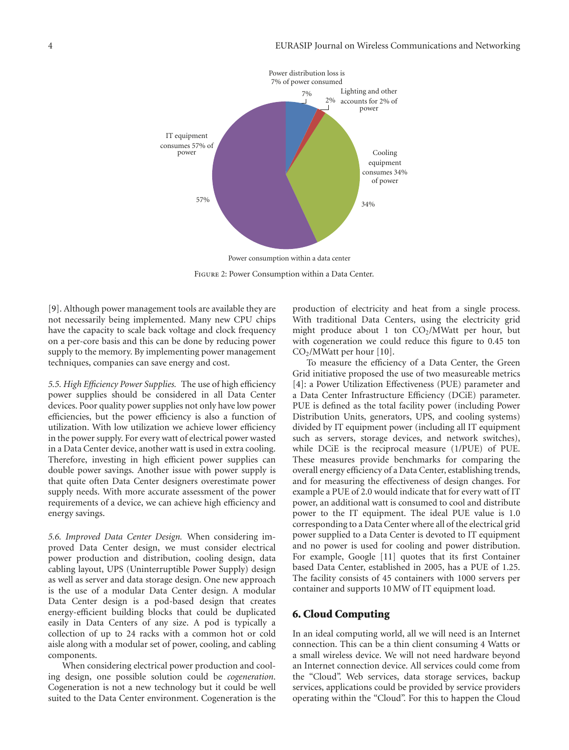

Figure 2: Power Consumption within a Data Center.

[9]. Although power management tools are available they are not necessarily being implemented. Many new CPU chips have the capacity to scale back voltage and clock frequency on a per-core basis and this can be done by reducing power supply to the memory. By implementing power management techniques, companies can save energy and cost.

*5.5. High Efficiency Power Supplies.* The use of high efficiency power supplies should be considered in all Data Center devices. Poor quality power supplies not only have low power efficiencies, but the power efficiency is also a function of utilization. With low utilization we achieve lower efficiency in the power supply. For every watt of electrical power wasted in a Data Center device, another watt is used in extra cooling. Therefore, investing in high efficient power supplies can double power savings. Another issue with power supply is that quite often Data Center designers overestimate power supply needs. With more accurate assessment of the power requirements of a device, we can achieve high efficiency and energy savings.

*5.6. Improved Data Center Design.* When considering improved Data Center design, we must consider electrical power production and distribution, cooling design, data cabling layout, UPS (Uninterruptible Power Supply) design as well as server and data storage design. One new approach is the use of a modular Data Center design. A modular Data Center design is a pod-based design that creates energy-efficient building blocks that could be duplicated easily in Data Centers of any size. A pod is typically a collection of up to 24 racks with a common hot or cold aisle along with a modular set of power, cooling, and cabling components.

When considering electrical power production and cooling design, one possible solution could be *cogeneration*. Cogeneration is not a new technology but it could be well suited to the Data Center environment. Cogeneration is the

production of electricity and heat from a single process. With traditional Data Centers, using the electricity grid might produce about 1 ton CO<sub>2</sub>/MWatt per hour, but with cogeneration we could reduce this figure to 0.45 ton  $CO<sub>2</sub>/MW$ att per hour [10].

To measure the efficiency of a Data Center, the Green Grid initiative proposed the use of two measureable metrics [4]: a Power Utilization Effectiveness (PUE) parameter and a Data Center Infrastructure Efficiency (DCiE) parameter. PUE is defined as the total facility power (including Power Distribution Units, generators, UPS, and cooling systems) divided by IT equipment power (including all IT equipment such as servers, storage devices, and network switches), while DCiE is the reciprocal measure (1/PUE) of PUE. These measures provide benchmarks for comparing the overall energy efficiency of a Data Center, establishing trends, and for measuring the effectiveness of design changes. For example a PUE of 2.0 would indicate that for every watt of IT power, an additional watt is consumed to cool and distribute power to the IT equipment. The ideal PUE value is 1.0 corresponding to a Data Center where all of the electrical grid power supplied to a Data Center is devoted to IT equipment and no power is used for cooling and power distribution. For example, Google [11] quotes that its first Container based Data Center, established in 2005, has a PUE of 1.25. The facility consists of 45 containers with 1000 servers per container and supports 10 MW of IT equipment load.

#### **6. Cloud Computing**

In an ideal computing world, all we will need is an Internet connection. This can be a thin client consuming 4 Watts or a small wireless device. We will not need hardware beyond an Internet connection device. All services could come from the "Cloud". Web services, data storage services, backup services, applications could be provided by service providers operating within the "Cloud". For this to happen the Cloud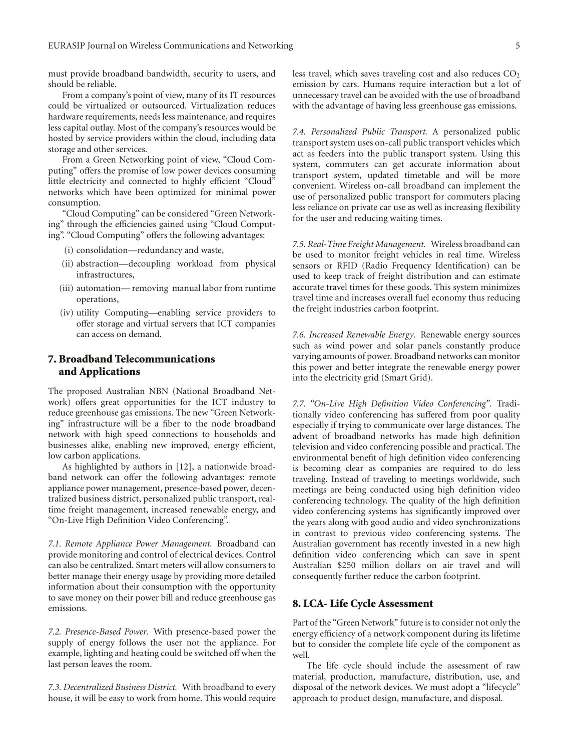must provide broadband bandwidth, security to users, and should be reliable.

From a company's point of view, many of its IT resources could be virtualized or outsourced. Virtualization reduces hardware requirements, needs less maintenance, and requires less capital outlay. Most of the company's resources would be hosted by service providers within the cloud, including data storage and other services.

From a Green Networking point of view, "Cloud Computing" offers the promise of low power devices consuming little electricity and connected to highly efficient "Cloud" networks which have been optimized for minimal power consumption.

"Cloud Computing" can be considered "Green Networking" through the efficiencies gained using "Cloud Computing". "Cloud Computing" offers the following advantages:

- (i) consolidation—redundancy and waste,
- (ii) abstraction—decoupling workload from physical infrastructures,
- (iii) automation— removing manual labor from runtime operations,
- (iv) utility Computing—enabling service providers to offer storage and virtual servers that ICT companies can access on demand.

## **7. Broadband Telecommunications and Applications**

The proposed Australian NBN (National Broadband Network) offers great opportunities for the ICT industry to reduce greenhouse gas emissions. The new "Green Networking" infrastructure will be a fiber to the node broadband network with high speed connections to households and businesses alike, enabling new improved, energy efficient, low carbon applications.

As highlighted by authors in [12], a nationwide broadband network can offer the following advantages: remote appliance power management, presence-based power, decentralized business district, personalized public transport, realtime freight management, increased renewable energy, and "On-Live High Definition Video Conferencing".

*7.1. Remote Appliance Power Management.* Broadband can provide monitoring and control of electrical devices. Control can also be centralized. Smart meters will allow consumers to better manage their energy usage by providing more detailed information about their consumption with the opportunity to save money on their power bill and reduce greenhouse gas emissions.

*7.2. Presence-Based Power.* With presence-based power the supply of energy follows the user not the appliance. For example, lighting and heating could be switched off when the last person leaves the room.

*7.3. Decentralized Business District.* With broadband to every house, it will be easy to work from home. This would require less travel, which saves traveling cost and also reduces  $CO<sub>2</sub>$ emission by cars. Humans require interaction but a lot of unnecessary travel can be avoided with the use of broadband with the advantage of having less greenhouse gas emissions.

*7.4. Personalized Public Transport.* A personalized public transport system uses on-call public transport vehicles which act as feeders into the public transport system. Using this system, commuters can get accurate information about transport system, updated timetable and will be more convenient. Wireless on-call broadband can implement the use of personalized public transport for commuters placing less reliance on private car use as well as increasing flexibility for the user and reducing waiting times.

*7.5. Real-Time Freight Management.* Wireless broadband can be used to monitor freight vehicles in real time. Wireless sensors or RFID (Radio Frequency Identification) can be used to keep track of freight distribution and can estimate accurate travel times for these goods. This system minimizes travel time and increases overall fuel economy thus reducing the freight industries carbon footprint.

*7.6. Increased Renewable Energy.* Renewable energy sources such as wind power and solar panels constantly produce varying amounts of power. Broadband networks can monitor this power and better integrate the renewable energy power into the electricity grid (Smart Grid).

*7.7. "On-Live High Definition Video Conferencing".* Traditionally video conferencing has suffered from poor quality especially if trying to communicate over large distances. The advent of broadband networks has made high definition television and video conferencing possible and practical. The environmental benefit of high definition video conferencing is becoming clear as companies are required to do less traveling. Instead of traveling to meetings worldwide, such meetings are being conducted using high definition video conferencing technology. The quality of the high definition video conferencing systems has significantly improved over the years along with good audio and video synchronizations in contrast to previous video conferencing systems. The Australian government has recently invested in a new high definition video conferencing which can save in spent Australian \$250 million dollars on air travel and will consequently further reduce the carbon footprint.

#### **8. LCA- Life Cycle Assessment**

Part of the "Green Network" future is to consider not only the energy efficiency of a network component during its lifetime but to consider the complete life cycle of the component as well.

The life cycle should include the assessment of raw material, production, manufacture, distribution, use, and disposal of the network devices. We must adopt a "lifecycle" approach to product design, manufacture, and disposal.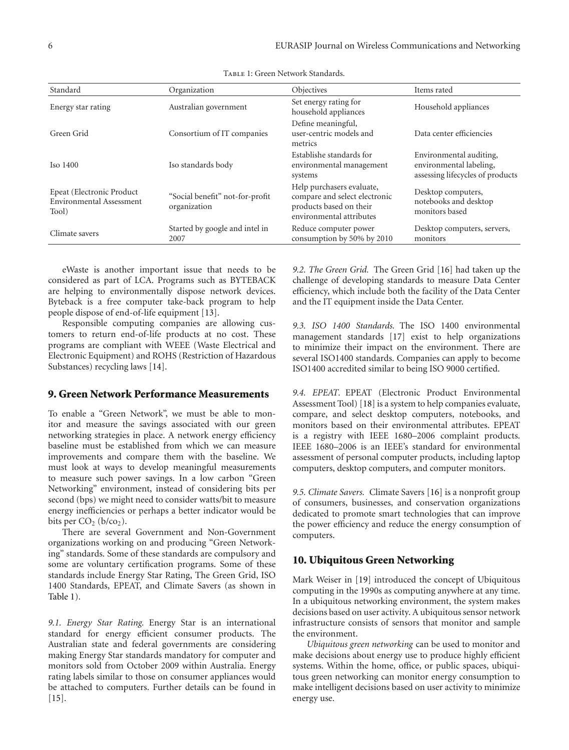| Standard                                                        | Organization                                    | Objectives                                                                                                        | Items rated                                                                            |
|-----------------------------------------------------------------|-------------------------------------------------|-------------------------------------------------------------------------------------------------------------------|----------------------------------------------------------------------------------------|
| Energy star rating                                              | Australian government                           | Set energy rating for<br>household appliances                                                                     | Household appliances                                                                   |
| Green Grid                                                      | Consortium of IT companies                      | Define meaningful,<br>user-centric models and<br>metrics                                                          | Data center efficiencies                                                               |
| Iso <sub>1400</sub>                                             | Iso standards body                              | Establishe standards for<br>environmental management<br>systems                                                   | Environmental auditing,<br>environmental labeling,<br>assessing lifecycles of products |
| Epeat (Electronic Product)<br>Environmental Assessment<br>Tool) | "Social benefit" not-for-profit<br>organization | Help purchasers evaluate,<br>compare and select electronic<br>products based on their<br>environmental attributes | Desktop computers,<br>notebooks and desktop<br>monitors based                          |
| Climate savers                                                  | Started by google and intel in<br>2007          | Reduce computer power<br>consumption by 50% by 2010                                                               | Desktop computers, servers,<br>monitors                                                |

Table 1: Green Network Standards.

eWaste is another important issue that needs to be considered as part of LCA. Programs such as BYTEBACK are helping to environmentally dispose network devices. Byteback is a free computer take-back program to help people dispose of end-of-life equipment [13].

Responsible computing companies are allowing customers to return end-of-life products at no cost. These programs are compliant with WEEE (Waste Electrical and Electronic Equipment) and ROHS (Restriction of Hazardous Substances) recycling laws [14].

#### **9. Green Network Performance Measurements**

To enable a "Green Network", we must be able to monitor and measure the savings associated with our green networking strategies in place. A network energy efficiency baseline must be established from which we can measure improvements and compare them with the baseline. We must look at ways to develop meaningful measurements to measure such power savings. In a low carbon "Green Networking" environment, instead of considering bits per second (bps) we might need to consider watts/bit to measure energy inefficiencies or perhaps a better indicator would be bits per  $CO<sub>2</sub>$  (b/co<sub>2</sub>).

There are several Government and Non-Government organizations working on and producing "Green Networking" standards. Some of these standards are compulsory and some are voluntary certification programs. Some of these standards include Energy Star Rating, The Green Grid, ISO 1400 Standards, EPEAT, and Climate Savers (as shown in Table 1).

*9.1. Energy Star Rating.* Energy Star is an international standard for energy efficient consumer products. The Australian state and federal governments are considering making Energy Star standards mandatory for computer and monitors sold from October 2009 within Australia. Energy rating labels similar to those on consumer appliances would be attached to computers. Further details can be found in  $[15]$ .

*9.2. The Green Grid.* The Green Grid [16] had taken up the challenge of developing standards to measure Data Center efficiency, which include both the facility of the Data Center and the IT equipment inside the Data Center.

*9.3. ISO 1400 Standards.* The ISO 1400 environmental management standards [17] exist to help organizations to minimize their impact on the environment. There are several ISO1400 standards. Companies can apply to become ISO1400 accredited similar to being ISO 9000 certified.

*9.4. EPEAT.* EPEAT (Electronic Product Environmental Assessment Tool) [18] is a system to help companies evaluate, compare, and select desktop computers, notebooks, and monitors based on their environmental attributes. EPEAT is a registry with IEEE 1680–2006 complaint products. IEEE 1680–2006 is an IEEE's standard for environmental assessment of personal computer products, including laptop computers, desktop computers, and computer monitors.

*9.5. Climate Savers.* Climate Savers [16] is a nonprofit group of consumers, businesses, and conservation organizations dedicated to promote smart technologies that can improve the power efficiency and reduce the energy consumption of computers.

#### **10. Ubiquitous Green Networking**

Mark Weiser in [19] introduced the concept of Ubiquitous computing in the 1990s as computing anywhere at any time. In a ubiquitous networking environment, the system makes decisions based on user activity. A ubiquitous sensor network infrastructure consists of sensors that monitor and sample the environment.

*Ubiquitous green networking* can be used to monitor and make decisions about energy use to produce highly efficient systems. Within the home, office, or public spaces, ubiquitous green networking can monitor energy consumption to make intelligent decisions based on user activity to minimize energy use.